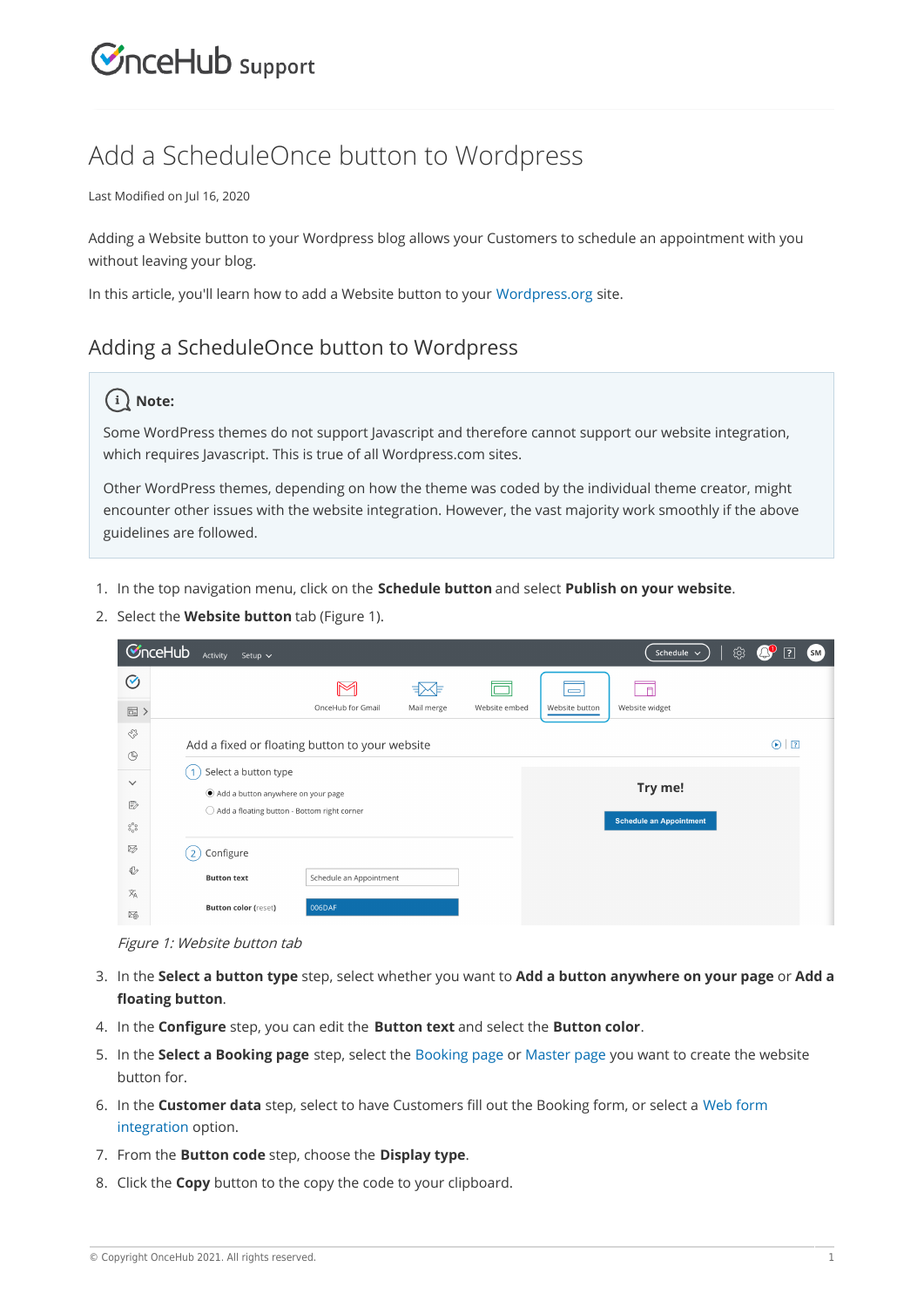## **CInceHub** support

### Add a ScheduleOnce button to Wordpress

Last Modified on Jul 16, 2020

Adding a Website button to your Wordpress blog allows your Customers to schedule an appointment with you without leaving your blog.

In this article, you'll learn how to add a Website button to your Wordpress.org site.

### Adding a ScheduleOnce button to Wordpress

#### **Note:**

Some WordPress themes do not support Javascript and therefore cannot support our website integration, which requires Javascript. This is true of all Wordpress.com sites.

Other WordPress themes, depending on how the theme was coded by the individual theme creator, might encounter other issues with the website integration. However, the vast majority work smoothly if the above guidelines are followed.

- 1. In the top navigation menu, click on the **Schedule button** and select **Publish on your website**.
- 2. Select the **Website button** tab (Figure 1).

| <b>C</b> nceHub<br>ශ<br>Schedule $\sim$<br>$\mathsf{S}\mathsf{M}$<br>Activity<br>Setup $\sim$ |                                                                                          |                       |
|-----------------------------------------------------------------------------------------------|------------------------------------------------------------------------------------------|-----------------------|
| $\odot$                                                                                       | <Ε<br>ヨ><br>$\Box$ Fl<br>$\equiv$                                                        |                       |
| 圖〉                                                                                            | OnceHub for Gmail<br>Website embed<br>Mail merge<br>Website button<br>Website widget     |                       |
| ES<br>$\circledcirc$                                                                          | Add a fixed or floating button to your website                                           | $\sqrt{2}$<br>$\odot$ |
| $\checkmark$                                                                                  | Select a button type<br>$^{\circ}$ 1<br>Try me!<br>Add a button anywhere on your page    |                       |
| ₿<br>$_{\circ_\mathrm{o}^\mathrm{o} \circ}$                                                   | $\bigcirc$ Add a floating button - Bottom right corner<br><b>Schedule an Appointment</b> |                       |
| ≫                                                                                             | Configure<br>$\overline{2}$                                                              |                       |
| ♦                                                                                             | Schedule an Appointment<br><b>Button text</b>                                            |                       |
| $\overline{x}_A$<br>交                                                                         | 006DAF<br><b>Button color (reset)</b>                                                    |                       |

Figure 1: Website button tab

- In the **Select a button type** step, select whether you want to **Add a button anywhere on your page** or **Add a** 3. **floating button**.
- 4. In the **Configure** step, you can edit the **Button text** and select the **Button color**.
- In the **Select a Booking page** step, select the Booking page or Master page you want to create the website 5. button for.
- 6. In the **Customer data** step, select to have Customers fill out the Booking form, or select a Web form integration option.
- 7. From the **Button code** step, choose the **Display type**.
- 8. Click the **Copy** button to the copy the code to your clipboard.